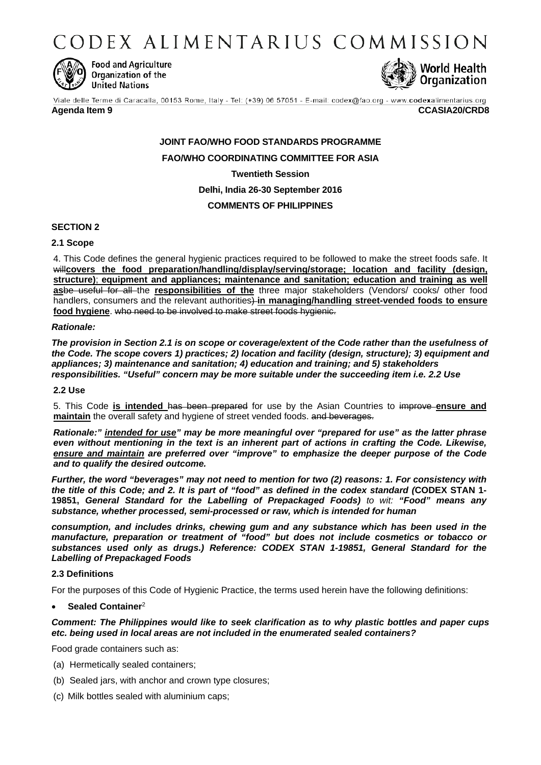CODEX ALIMENTARIUS COMMISSION



**Food and Agriculture** Organization of the **United Nations** 



Viale delle Terme di Caracalla, 00153 Rome, Italy - Tel: (+39) 06 57051 - E-mail: codex@fao.org - www.codexalimentarius.org **Agenda Item 9 CCASIA20/CRD8**

# **JOINT FAO/WHO FOOD STANDARDS PROGRAMME FAO/WHO COORDINATING COMMITTEE FOR ASIA Twentieth Session Delhi, India 26-30 September 2016 COMMENTS OF PHILIPPINES**

# **SECTION 2**

# **2.1 Scope**

4. This Code defines the general hygienic practices required to be followed to make the street foods safe. It will**covers the food preparation/handling/display/serving/storage; location and facility (design, structure)**; **equipment and appliances; maintenance and sanitation; education and training as well as**be useful for all the **responsibilities of the** three major stakeholders (Vendors/ cooks/ other food handlers, consumers and the relevant authorities) **in managing/handling street-vended foods to ensure food hygiene**. who need to be involved to make street foods hygienic.

### *Rationale:*

*The provision in Section 2.1 is on scope or coverage/extent of the Code rather than the usefulness of the Code. The scope covers 1) practices; 2) location and facility (design, structure); 3) equipment and appliances; 3) maintenance and sanitation; 4) education and training; and 5) stakeholders responsibilities. "Useful" concern may be more suitable under the succeeding item i.e. 2.2 Use*

#### **2.2 Use**

5. This Code **is intended** has been prepared for use by the Asian Countries to improve **ensure and maintain** the overall safety and hygiene of street vended foods. and beverages.

*Rationale:" intended for use" may be more meaningful over "prepared for use" as the latter phrase even without mentioning in the text is an inherent part of actions in crafting the Code. Likewise, ensure and maintain are preferred over "improve" to emphasize the deeper purpose of the Code and to qualify the desired outcome.*

*Further, the word "beverages" may not need to mention for two (2) reasons: 1. For consistency with the title of this Code; and 2. It is part of "food" as defined in the codex standard (***CODEX STAN 1- 19851,** *General Standard for the Labelling of Prepackaged Foods) to wit: "Food" means any substance, whether processed, semi-processed or raw, which is intended for human* 

*consumption, and includes drinks, chewing gum and any substance which has been used in the manufacture, preparation or treatment of "food" but does not include cosmetics or tobacco or substances used only as drugs.) Reference: CODEX STAN 1-19851, General Standard for the Labelling of Prepackaged Foods*

# **2.3 Definitions**

For the purposes of this Code of Hygienic Practice, the terms used herein have the following definitions:

# • **Sealed Container**<sup>2</sup>

# *Comment: The Philippines would like to seek clarification as to why plastic bottles and paper cups etc. being used in local areas are not included in the enumerated sealed containers?*

Food grade containers such as:

- (a) Hermetically sealed containers;
- (b) Sealed jars, with anchor and crown type closures;
- (c) Milk bottles sealed with aluminium caps;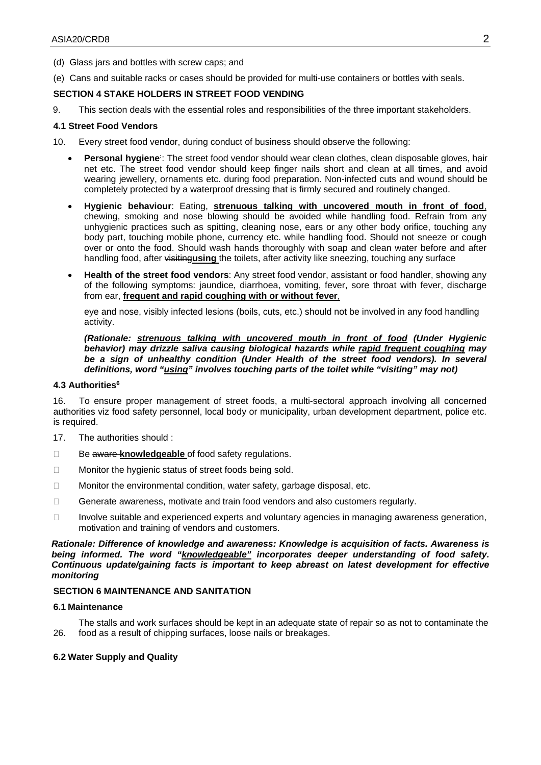(d) Glass jars and bottles with screw caps; and

(e) Cans and suitable racks or cases should be provided for multi-use containers or bottles with seals.

# **SECTION 4 STAKE HOLDERS IN STREET FOOD VENDING**

9. This section deals with the essential roles and responsibilities of the three important stakeholders.

#### **4.1 Street Food Vendors**

- 10. Every street food vendor, during conduct of business should observe the following:
	- **Personal hygiene**: The street food vendor should wear clean clothes, clean disposable gloves, hair net etc. The street food vendor should keep finger nails short and clean at all times, and avoid wearing jewellery, ornaments etc. during food preparation. Non-infected cuts and wound should be completely protected by a waterproof dressing that is firmly secured and routinely changed.
	- **Hygienic behaviour**: Eating, **strenuous talking with uncovered mouth in front of food**, chewing, smoking and nose blowing should be avoided while handling food. Refrain from any unhygienic practices such as spitting, cleaning nose, ears or any other body orifice, touching any body part, touching mobile phone, currency etc. while handling food. Should not sneeze or cough over or onto the food. Should wash hands thoroughly with soap and clean water before and after handling food, after visiting**using** the toilets, after activity like sneezing, touching any surface
	- **Health of the street food vendors**: Any street food vendor, assistant or food handler, showing any of the following symptoms: jaundice, diarrhoea, vomiting, fever, sore throat with fever, discharge from ear, **frequent and rapid coughing with or without fever**,

eye and nose, visibly infected lesions (boils, cuts, etc.) should not be involved in any food handling activity.

*(Rationale: strenuous talking with uncovered mouth in front of food (Under Hygienic behavior) may drizzle saliva causing biological hazards while rapid frequent coughing may*  be a sign of unhealthy condition (Under Health of the street food vendors). In several *definitions, word "using" involves touching parts of the toilet while "visiting" may not)* 

#### **4.3 Authorities**<sup>6</sup>

16. To ensure proper management of street foods, a multi-sectoral approach involving all concerned authorities viz food safety personnel, local body or municipality, urban development department, police etc. is required.

- 17. The authorities should :
- □ Be aware knowledgeable of food safety regulations.
- □ Monitor the hygienic status of street foods being sold.
- □ Monitor the environmental condition, water safety, garbage disposal, etc.
- □ Generate awareness, motivate and train food vendors and also customers regularly.
- $\Box$  Involve suitable and experienced experts and voluntary agencies in managing awareness generation, motivation and training of vendors and customers.

*Rationale: Difference of knowledge and awareness: Knowledge is acquisition of facts. Awareness is being informed. The word "knowledgeable" incorporates deeper understanding of food safety. Continuous update/gaining facts is important to keep abreast on latest development for effective monitoring*

## **SECTION 6 MAINTENANCE AND SANITATION**

#### **6.1 Maintenance**

26. The stalls and work surfaces should be kept in an adequate state of repair so as not to contaminate the food as a result of chipping surfaces, loose nails or breakages.

# **6.2 Water Supply and Quality**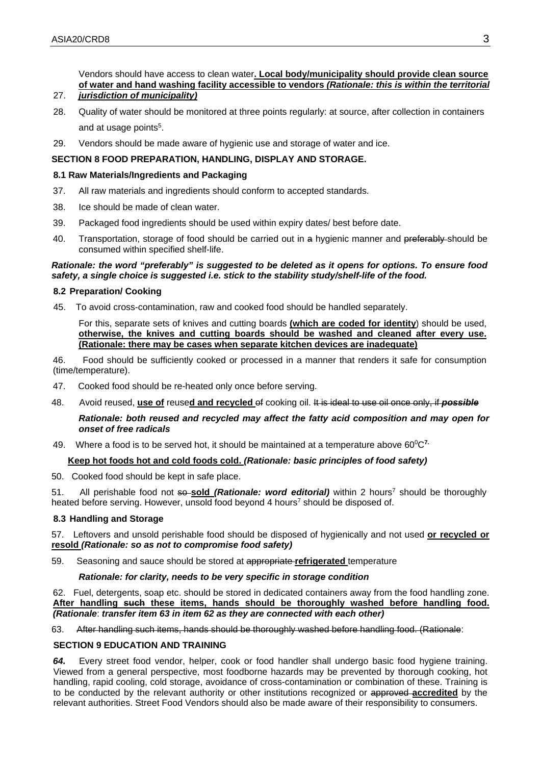Vendors should have access to clean water**. Local body/municipality should provide clean source of water and hand washing facility accessible to vendors** *(Rationale: this is within the territorial jurisdiction of municipality)*

# 27.

- 28. Quality of water should be monitored at three points regularly: at source, after collection in containers and at usage points<sup>5</sup>.
- 29. Vendors should be made aware of hygienic use and storage of water and ice.

#### **SECTION 8 FOOD PREPARATION, HANDLING, DISPLAY AND STORAGE.**

#### **8.1 Raw Materials/Ingredients and Packaging**

- 37. All raw materials and ingredients should conform to accepted standards.
- 38. Ice should be made of clean water.
- 39. Packaged food ingredients should be used within expiry dates/ best before date.
- 40. Transportation, storage of food should be carried out in a hygienic manner and preferably-should be consumed within specified shelf-life.

#### *Rationale: the word "preferably" is suggested to be deleted as it opens for options. To ensure food safety, a single choice is suggested i.e. stick to the stability study/shelf-life of the food.*

#### **8.2 Preparation/ Cooking**

45. To avoid cross-contamination, raw and cooked food should be handled separately.

For this, separate sets of knives and cutting boards **(which are coded for identity**) should be used, **otherwise, the knives and cutting boards should be washed and cleaned after every use. (Rationale: there may be cases when separate kitchen devices are inadequate)**

46. Food should be sufficiently cooked or processed in a manner that renders it safe for consumption (time/temperature).

- 47. Cooked food should be re-heated only once before serving.
- 48. Avoid reused, **use of** reuse**d and recycled** of cooking oil. It is ideal to use oil once only, if *possible*

*Rationale: both reused and recycled may affect the fatty acid composition and may open for onset of free radicals*

49. Where a food is to be served hot, it should be maintained at a temperature above 600C**7.** 

# **Keep hot foods hot and cold foods cold.** *(Rationale: basic principles of food safety)*

50. Cooked food should be kept in safe place.

51. All perishable food not so-sold *(Rationale: word editorial)* within 2 hours<sup>7</sup> should be thoroughly heated before serving. However, unsold food beyond 4 hours<sup>7</sup> should be disposed of.

#### **8.3 Handling and Storage**

57. Leftovers and unsold perishable food should be disposed of hygienically and not used **or recycled or resold** *(Rationale: so as not to compromise food safety)*

59. Seasoning and sauce should be stored at appropriate **refrigerated** temperature

#### *Rationale: for clarity, needs to be very specific in storage condition*

62. Fuel, detergents, soap etc. should be stored in dedicated containers away from the food handling zone. **After handling such these items, hands should be thoroughly washed before handling food.** *(Rationale*: *transfer item 63 in item 62 as they are connected with each other)*

63. After handling such items, hands should be thoroughly washed before handling food. (Rationale:

#### **SECTION 9 EDUCATION AND TRAINING**

*64.* Every street food vendor, helper, cook or food handler shall undergo basic food hygiene training. Viewed from a general perspective, most foodborne hazards may be prevented by thorough cooking, hot handling, rapid cooling, cold storage, avoidance of cross-contamination or combination of these. Training is to be conducted by the relevant authority or other institutions recognized or approved **accredited** by the relevant authorities. Street Food Vendors should also be made aware of their responsibility to consumers.